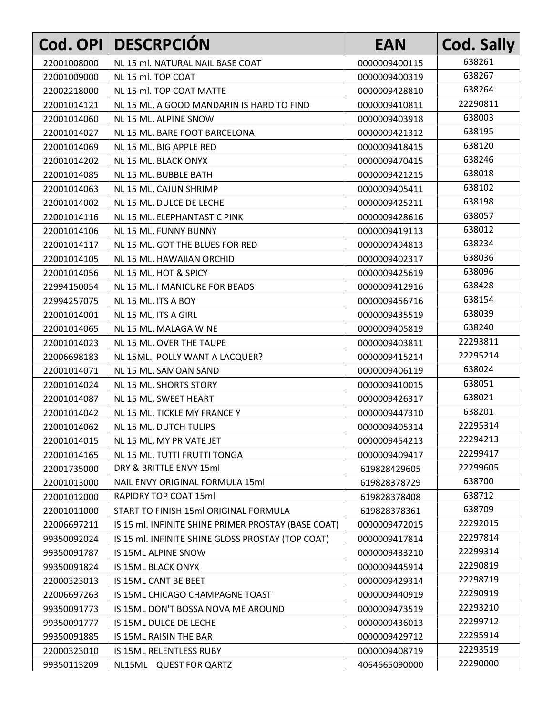| Cod. OPI    | <b>DESCRPCIÓN</b>                                   | <b>EAN</b>    | <b>Cod. Sally</b> |
|-------------|-----------------------------------------------------|---------------|-------------------|
| 22001008000 | NL 15 ml. NATURAL NAIL BASE COAT                    | 0000009400115 | 638261            |
| 22001009000 | NL 15 ml. TOP COAT                                  | 0000009400319 | 638267            |
| 22002218000 | NL 15 ml. TOP COAT MATTE                            | 0000009428810 | 638264            |
| 22001014121 | NL 15 ML. A GOOD MANDARIN IS HARD TO FIND           | 0000009410811 | 22290811          |
| 22001014060 | NL 15 ML. ALPINE SNOW                               | 0000009403918 | 638003            |
| 22001014027 | NL 15 ML. BARE FOOT BARCELONA                       | 0000009421312 | 638195            |
| 22001014069 | NL 15 ML. BIG APPLE RED                             | 0000009418415 | 638120            |
| 22001014202 | NL 15 ML. BLACK ONYX                                | 0000009470415 | 638246            |
| 22001014085 | NL 15 ML. BUBBLE BATH                               | 0000009421215 | 638018            |
| 22001014063 | NL 15 ML. CAJUN SHRIMP                              | 0000009405411 | 638102            |
| 22001014002 | NL 15 ML. DULCE DE LECHE                            | 0000009425211 | 638198            |
| 22001014116 | NL 15 ML. ELEPHANTASTIC PINK                        | 0000009428616 | 638057            |
| 22001014106 | NL 15 ML. FUNNY BUNNY                               | 0000009419113 | 638012            |
| 22001014117 | NL 15 ML. GOT THE BLUES FOR RED                     | 0000009494813 | 638234            |
| 22001014105 | NL 15 ML, HAWAIIAN ORCHID                           | 0000009402317 | 638036            |
| 22001014056 | NL 15 ML. HOT & SPICY                               | 0000009425619 | 638096            |
| 22994150054 | NL 15 ML. I MANICURE FOR BEADS                      | 0000009412916 | 638428            |
| 22994257075 | NL 15 ML. ITS A BOY                                 | 0000009456716 | 638154            |
| 22001014001 | NL 15 ML. ITS A GIRL                                | 0000009435519 | 638039            |
| 22001014065 | NL 15 ML. MALAGA WINE                               | 0000009405819 | 638240            |
| 22001014023 | NL 15 ML. OVER THE TAUPE                            | 0000009403811 | 22293811          |
| 22006698183 | NL 15ML. POLLY WANT A LACQUER?                      | 0000009415214 | 22295214          |
| 22001014071 | NL 15 ML. SAMOAN SAND                               | 0000009406119 | 638024            |
| 22001014024 | NL 15 ML. SHORTS STORY                              | 0000009410015 | 638051            |
| 22001014087 | NL 15 ML. SWEET HEART                               | 0000009426317 | 638021            |
| 22001014042 | NL 15 ML. TICKLE MY FRANCE Y                        | 0000009447310 | 638201            |
| 22001014062 | NL 15 ML. DUTCH TULIPS                              | 0000009405314 | 22295314          |
| 22001014015 | NL 15 ML. MY PRIVATE JET                            | 0000009454213 | 22294213          |
| 22001014165 | NL 15 ML. TUTTI FRUTTI TONGA                        | 0000009409417 | 22299417          |
| 22001735000 | DRY & BRITTLE ENVY 15ml                             | 619828429605  | 22299605          |
| 22001013000 | NAIL ENVY ORIGINAL FORMULA 15ml                     | 619828378729  | 638700            |
| 22001012000 | RAPIDRY TOP COAT 15ml                               | 619828378408  | 638712            |
| 22001011000 | START TO FINISH 15ml ORIGINAL FORMULA               | 619828378361  | 638709            |
| 22006697211 | IS 15 ml. INFINITE SHINE PRIMER PROSTAY (BASE COAT) | 0000009472015 | 22292015          |
| 99350092024 | IS 15 ml. INFINITE SHINE GLOSS PROSTAY (TOP COAT)   | 0000009417814 | 22297814          |
| 99350091787 | IS 15ML ALPINE SNOW                                 | 0000009433210 | 22299314          |
| 99350091824 | IS 15ML BLACK ONYX                                  | 0000009445914 | 22290819          |
| 22000323013 | IS 15ML CANT BE BEET                                | 0000009429314 | 22298719          |
| 22006697263 | IS 15ML CHICAGO CHAMPAGNE TOAST                     | 0000009440919 | 22290919          |
| 99350091773 | IS 15ML DON'T BOSSA NOVA ME AROUND                  | 0000009473519 | 22293210          |
| 99350091777 | IS 15ML DULCE DE LECHE                              | 0000009436013 | 22299712          |
| 99350091885 | IS 15ML RAISIN THE BAR                              | 0000009429712 | 22295914          |
| 22000323010 | IS 15ML RELENTLESS RUBY                             | 0000009408719 | 22293519          |
| 99350113209 | NL15ML QUEST FOR QARTZ                              | 4064665090000 | 22290000          |